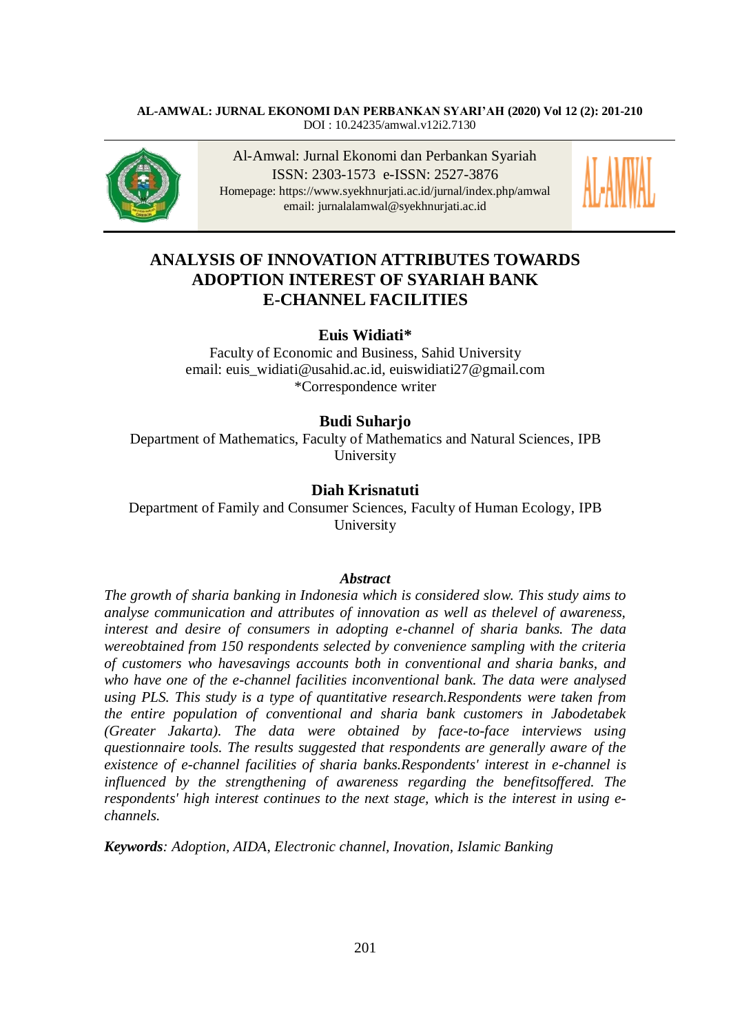### **AL-AMWAL: JURNAL EKONOMI DAN PERBANKAN SYARI'AH (2020) Vol 12 (2): 201-210** DOI : [10.24235/amwal.v12i2.7130](http://dx.doi.org/10.24235/amwal.v12i2.7130)



Al-Amwal: Jurnal Ekonomi dan Perbankan Syariah ISSN: 2303-1573 e-ISSN: 2527-3876 Homepage:<https://www.syekhnurjati.ac.id/jurnal/index.php/amwal> email: jurnalalamwal@syekhnurjati.ac.id



# **ANALYSIS OF INNOVATION ATTRIBUTES TOWARDS ADOPTION INTEREST OF SYARIAH BANK E-CHANNEL FACILITIES**

# **Euis Widiati\***

Faculty of Economic and Business, Sahid University email: [euis\\_widiati@usahid.ac.id,](mailto:euis_widiati@usahid.ac.id) [euiswidiati27@gmail.com](mailto:euiswidiati27@gmail.com) \*Correspondence writer

# **Budi Suharjo**

Department of Mathematics, Faculty of Mathematics and Natural Sciences, IPB University

# **Diah Krisnatuti**

Department of Family and Consumer Sciences, Faculty of Human Ecology, IPB University

#### *Abstract*

*The growth of sharia banking in Indonesia which is considered slow. This study aims to analyse communication and attributes of innovation as well as thelevel of awareness, interest and desire of consumers in adopting e-channel of sharia banks. The data wereobtained from 150 respondents selected by convenience sampling with the criteria of customers who havesavings accounts both in conventional and sharia banks, and who have one of the e-channel facilities inconventional bank. The data were analysed using PLS. This study is a type of quantitative research.Respondents were taken from the entire population of conventional and sharia bank customers in Jabodetabek (Greater Jakarta). The data were obtained by face-to-face interviews using questionnaire tools. The results suggested that respondents are generally aware of the existence of e-channel facilities of sharia banks.Respondents' interest in e-channel is influenced by the strengthening of awareness regarding the benefitsoffered. The respondents' high interest continues to the next stage, which is the interest in using echannels.* 

*Keywords: Adoption, AIDA*, *Electronic channel, Inovation, Islamic Banking*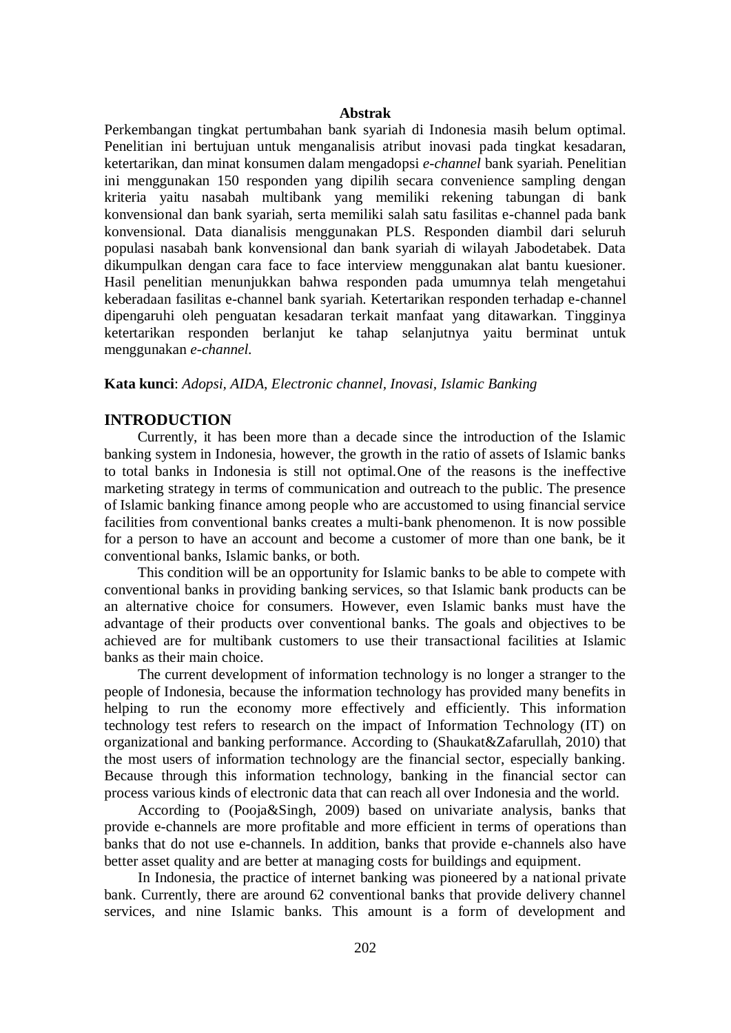#### **Abstrak**

Perkembangan tingkat pertumbahan bank syariah di Indonesia masih belum optimal. Penelitian ini bertujuan untuk menganalisis atribut inovasi pada tingkat kesadaran, ketertarikan, dan minat konsumen dalam mengadopsi *e-channel* bank syariah. Penelitian ini menggunakan 150 responden yang dipilih secara convenience sampling dengan kriteria yaitu nasabah multibank yang memiliki rekening tabungan di bank konvensional dan bank syariah, serta memiliki salah satu fasilitas e-channel pada bank konvensional. Data dianalisis menggunakan PLS. Responden diambil dari seluruh populasi nasabah bank konvensional dan bank syariah di wilayah Jabodetabek. Data dikumpulkan dengan cara face to face interview menggunakan alat bantu kuesioner. Hasil penelitian menunjukkan bahwa responden pada umumnya telah mengetahui keberadaan fasilitas e-channel bank syariah. Ketertarikan responden terhadap e-channel dipengaruhi oleh penguatan kesadaran terkait manfaat yang ditawarkan. Tingginya ketertarikan responden berlanjut ke tahap selanjutnya yaitu berminat untuk menggunakan *e-channel.*

# **Kata kunci**: *Adopsi, AIDA, Electronic channel, Inovasi, Islamic Banking*

# **INTRODUCTION**

Currently, it has been more than a decade since the introduction of the Islamic banking system in Indonesia, however, the growth in the ratio of assets of Islamic banks to total banks in Indonesia is still not optimal.One of the reasons is the ineffective marketing strategy in terms of communication and outreach to the public. The presence of Islamic banking finance among people who are accustomed to using financial service facilities from conventional banks creates a multi-bank phenomenon. It is now possible for a person to have an account and become a customer of more than one bank, be it conventional banks, Islamic banks, or both.

This condition will be an opportunity for Islamic banks to be able to compete with conventional banks in providing banking services, so that Islamic bank products can be an alternative choice for consumers. However, even Islamic banks must have the advantage of their products over conventional banks. The goals and objectives to be achieved are for multibank customers to use their transactional facilities at Islamic banks as their main choice.

The current development of information technology is no longer a stranger to the people of Indonesia, because the information technology has provided many benefits in helping to run the economy more effectively and efficiently. This information technology test refers to research on the impact of Information Technology (IT) on organizational and banking performance. According to (Shaukat&Zafarullah, 2010) that the most users of information technology are the financial sector, especially banking. Because through this information technology, banking in the financial sector can process various kinds of electronic data that can reach all over Indonesia and the world.

According to (Pooja&Singh, 2009) based on univariate analysis, banks that provide e-channels are more profitable and more efficient in terms of operations than banks that do not use e-channels. In addition, banks that provide e-channels also have better asset quality and are better at managing costs for buildings and equipment.

In Indonesia, the practice of internet banking was pioneered by a national private bank. Currently, there are around 62 conventional banks that provide delivery channel services, and nine Islamic banks. This amount is a form of development and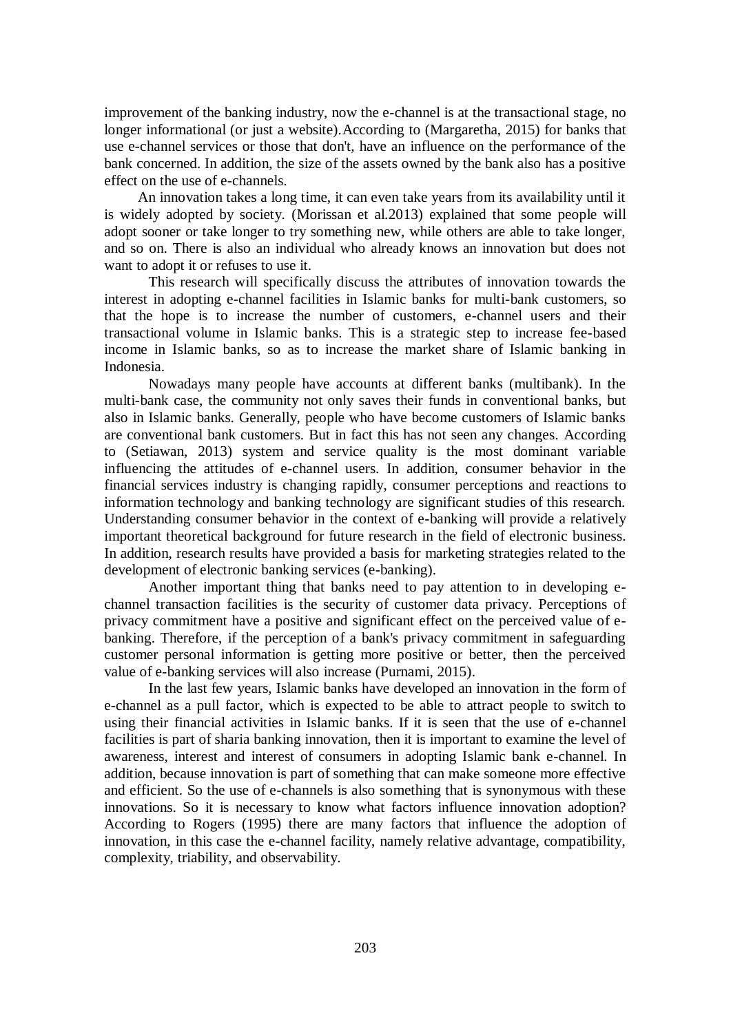improvement of the banking industry, now the e-channel is at the transactional stage, no longer informational (or just a website). According to (Margaretha, 2015) for banks that use e-channel services or those that don't, have an influence on the performance of the bank concerned. In addition, the size of the assets owned by the bank also has a positive effect on the use of e-channels.

An innovation takes a long time, it can even take years from its availability until it is widely adopted by society. (Morissan et al.2013) explained that some people will adopt sooner or take longer to try something new, while others are able to take longer, and so on. There is also an individual who already knows an innovation but does not want to adopt it or refuses to use it.

This research will specifically discuss the attributes of innovation towards the interest in adopting e-channel facilities in Islamic banks for multi-bank customers, so that the hope is to increase the number of customers, e-channel users and their transactional volume in Islamic banks. This is a strategic step to increase fee-based income in Islamic banks, so as to increase the market share of Islamic banking in Indonesia.

Nowadays many people have accounts at different banks (multibank). In the multi-bank case, the community not only saves their funds in conventional banks, but also in Islamic banks. Generally, people who have become customers of Islamic banks are conventional bank customers. But in fact this has not seen any changes. According to (Setiawan, 2013) system and service quality is the most dominant variable influencing the attitudes of e-channel users. In addition, consumer behavior in the financial services industry is changing rapidly, consumer perceptions and reactions to information technology and banking technology are significant studies of this research. Understanding consumer behavior in the context of e-banking will provide a relatively important theoretical background for future research in the field of electronic business. In addition, research results have provided a basis for marketing strategies related to the development of electronic banking services (e-banking).

Another important thing that banks need to pay attention to in developing echannel transaction facilities is the security of customer data privacy. Perceptions of privacy commitment have a positive and significant effect on the perceived value of ebanking. Therefore, if the perception of a bank's privacy commitment in safeguarding customer personal information is getting more positive or better, then the perceived value of e-banking services will also increase (Purnami, 2015).

In the last few years, Islamic banks have developed an innovation in the form of e-channel as a pull factor, which is expected to be able to attract people to switch to using their financial activities in Islamic banks. If it is seen that the use of e-channel facilities is part of sharia banking innovation, then it is important to examine the level of awareness, interest and interest of consumers in adopting Islamic bank e-channel. In addition, because innovation is part of something that can make someone more effective and efficient. So the use of e-channels is also something that is synonymous with these innovations. So it is necessary to know what factors influence innovation adoption? According to Rogers (1995) there are many factors that influence the adoption of innovation, in this case the e-channel facility, namely relative advantage, compatibility, complexity, triability, and observability.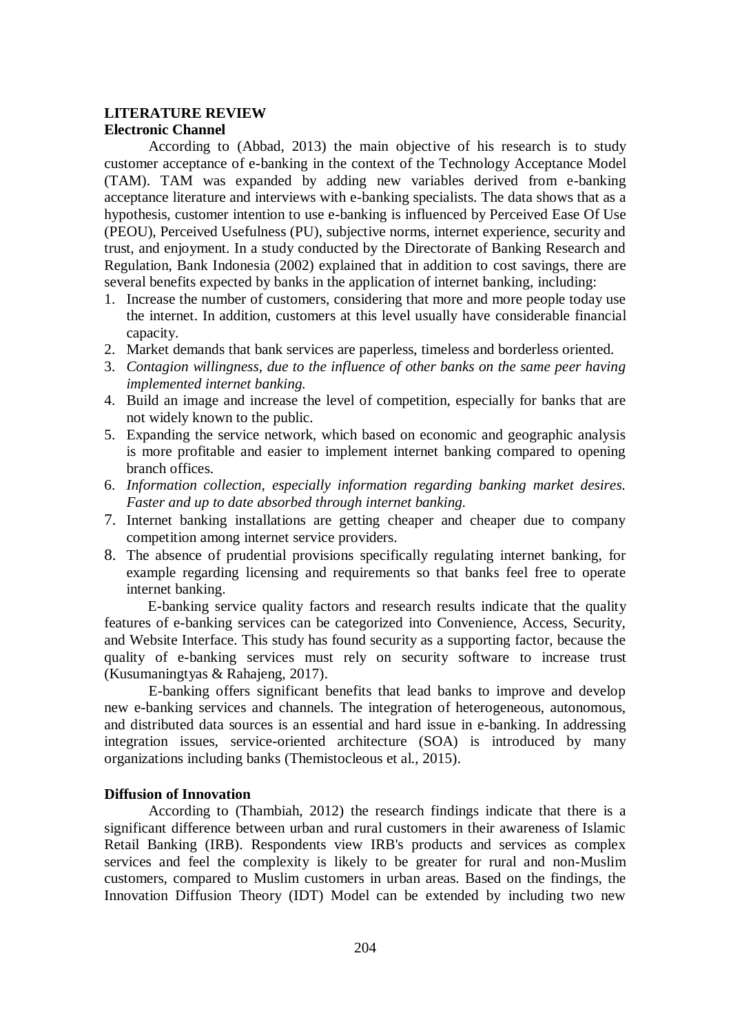# **LITERATURE REVIEW Electronic Channel**

According to (Abbad, 2013) the main objective of his research is to study customer acceptance of e-banking in the context of the Technology Acceptance Model (TAM). TAM was expanded by adding new variables derived from e-banking acceptance literature and interviews with e-banking specialists. The data shows that as a hypothesis, customer intention to use e-banking is influenced by Perceived Ease Of Use (PEOU), Perceived Usefulness (PU), subjective norms, internet experience, security and trust, and enjoyment. In a study conducted by the Directorate of Banking Research and Regulation, Bank Indonesia (2002) explained that in addition to cost savings, there are several benefits expected by banks in the application of internet banking, including:

- 1. Increase the number of customers, considering that more and more people today use the internet. In addition, customers at this level usually have considerable financial capacity.
- 2. Market demands that bank services are paperless, timeless and borderless oriented.
- 3. *Contagion willingness, due to the influence of other banks on the same peer having implemented internet banking.*
- 4. Build an image and increase the level of competition, especially for banks that are not widely known to the public.
- 5. Expanding the service network, which based on economic and geographic analysis is more profitable and easier to implement internet banking compared to opening branch offices.
- 6. *Information collection, especially information regarding banking market desires. Faster and up to date absorbed through internet banking.*
- 7. Internet banking installations are getting cheaper and cheaper due to company competition among internet service providers.
- 8. The absence of prudential provisions specifically regulating internet banking, for example regarding licensing and requirements so that banks feel free to operate internet banking.

E-banking service quality factors and research results indicate that the quality features of e-banking services can be categorized into Convenience, Access, Security, and Website Interface. This study has found security as a supporting factor, because the quality of e-banking services must rely on security software to increase trust (Kusumaningtyas & Rahajeng, 2017).

E-banking offers significant benefits that lead banks to improve and develop new e-banking services and channels. The integration of heterogeneous, autonomous, and distributed data sources is an essential and hard issue in e-banking. In addressing integration issues, service-oriented architecture (SOA) is introduced by many organizations including banks (Themistocleous et al., 2015).

## **Diffusion of Innovation**

According to (Thambiah, 2012) the research findings indicate that there is a significant difference between urban and rural customers in their awareness of Islamic Retail Banking (IRB). Respondents view IRB's products and services as complex services and feel the complexity is likely to be greater for rural and non-Muslim customers, compared to Muslim customers in urban areas. Based on the findings, the Innovation Diffusion Theory (IDT) Model can be extended by including two new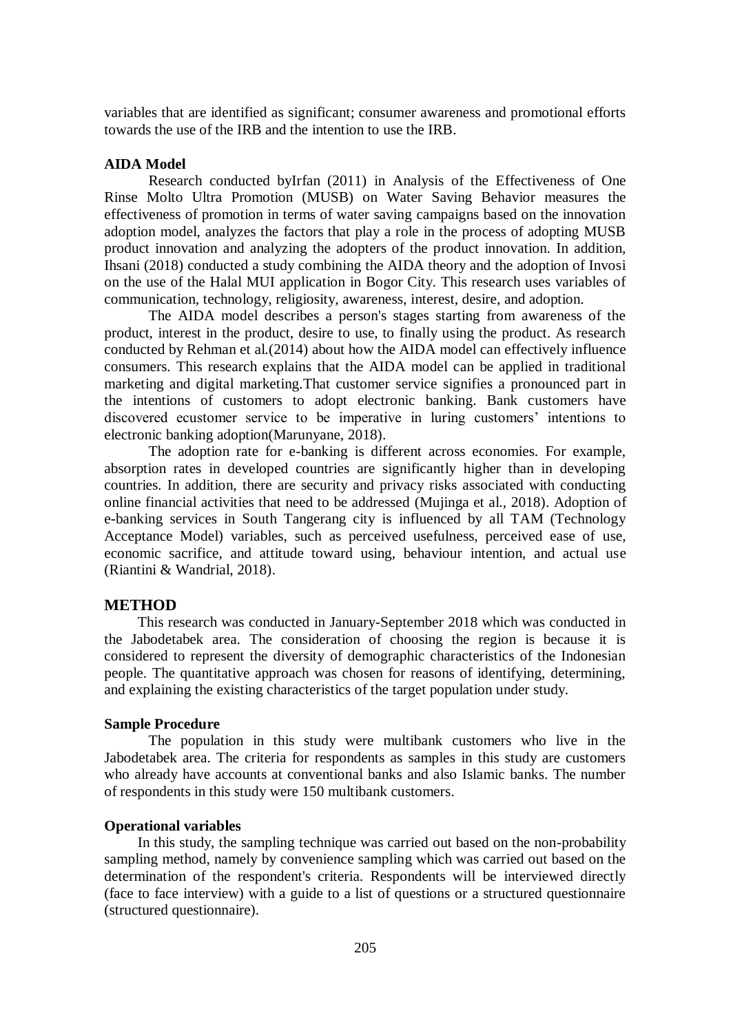variables that are identified as significant; consumer awareness and promotional efforts towards the use of the IRB and the intention to use the IRB.

#### **AIDA Model**

Research conducted byIrfan (2011) in Analysis of the Effectiveness of One Rinse Molto Ultra Promotion (MUSB) on Water Saving Behavior measures the effectiveness of promotion in terms of water saving campaigns based on the innovation adoption model, analyzes the factors that play a role in the process of adopting MUSB product innovation and analyzing the adopters of the product innovation. In addition, Ihsani (2018) conducted a study combining the AIDA theory and the adoption of Invosi on the use of the Halal MUI application in Bogor City. This research uses variables of communication, technology, religiosity, awareness, interest, desire, and adoption.

The AIDA model describes a person's stages starting from awareness of the product, interest in the product, desire to use, to finally using the product. As research conducted by Rehman et al.(2014) about how the AIDA model can effectively influence consumers. This research explains that the AIDA model can be applied in traditional marketing and digital marketing.That customer service signifies a pronounced part in the intentions of customers to adopt electronic banking. Bank customers have discovered ecustomer service to be imperative in luring customers' intentions to electronic banking adoption(Marunyane, 2018).

The adoption rate for e-banking is different across economies. For example, absorption rates in developed countries are significantly higher than in developing countries. In addition, there are security and privacy risks associated with conducting online financial activities that need to be addressed (Mujinga et al., 2018). Adoption of e-banking services in South Tangerang city is influenced by all TAM (Technology Acceptance Model) variables, such as perceived usefulness, perceived ease of use, economic sacrifice, and attitude toward using, behaviour intention, and actual use (Riantini & Wandrial, 2018).

#### **METHOD**

This research was conducted in January-September 2018 which was conducted in the Jabodetabek area. The consideration of choosing the region is because it is considered to represent the diversity of demographic characteristics of the Indonesian people. The quantitative approach was chosen for reasons of identifying, determining, and explaining the existing characteristics of the target population under study.

#### **Sample Procedure**

The population in this study were multibank customers who live in the Jabodetabek area. The criteria for respondents as samples in this study are customers who already have accounts at conventional banks and also Islamic banks. The number of respondents in this study were 150 multibank customers.

### **Operational variables**

In this study, the sampling technique was carried out based on the non-probability sampling method, namely by convenience sampling which was carried out based on the determination of the respondent's criteria. Respondents will be interviewed directly (face to face interview) with a guide to a list of questions or a structured questionnaire (structured questionnaire).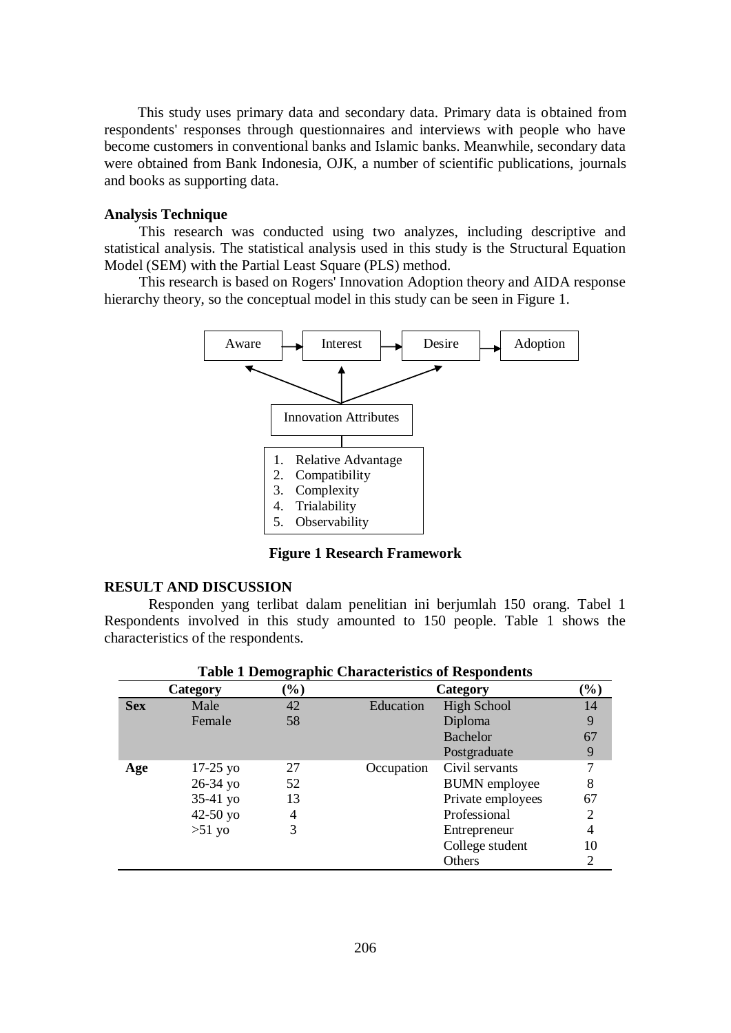This study uses primary data and secondary data. Primary data is obtained from respondents' responses through questionnaires and interviews with people who have become customers in conventional banks and Islamic banks. Meanwhile, secondary data were obtained from Bank Indonesia, OJK, a number of scientific publications, journals and books as supporting data.

### **Analysis Technique**

This research was conducted using two analyzes, including descriptive and statistical analysis. The statistical analysis used in this study is the Structural Equation Model (SEM) with the Partial Least Square (PLS) method.

This research is based on Rogers' Innovation Adoption theory and AIDA response hierarchy theory, so the conceptual model in this study can be seen in Figure 1.



**Figure 1 Research Framework**

# **RESULT AND DISCUSSION**

Responden yang terlibat dalam penelitian ini berjumlah 150 orang. Tabel 1 Respondents involved in this study amounted to 150 people. Table 1 shows the characteristics of the respondents.

| Table I Demographic Characteristics of Respondents |              |        |            |                      |                            |  |  |  |
|----------------------------------------------------|--------------|--------|------------|----------------------|----------------------------|--|--|--|
|                                                    | Category     | $(\%)$ |            | Category             | $\left(\frac{9}{6}\right)$ |  |  |  |
| <b>Sex</b>                                         | Male         | 42     | Education  | <b>High School</b>   | 14                         |  |  |  |
|                                                    | Female       | 58     |            | Diploma              | 9                          |  |  |  |
|                                                    |              |        |            | Bachelor             | 67                         |  |  |  |
|                                                    |              |        |            | Postgraduate         | 9                          |  |  |  |
| Age                                                | $17-25$ yo   | 27     | Occupation | Civil servants       |                            |  |  |  |
|                                                    | 26-34 yo     | 52     |            | <b>BUMN</b> employee | 8                          |  |  |  |
|                                                    | $35-41$ yo   | 13     |            | Private employees    | 67                         |  |  |  |
|                                                    | $42 - 50$ yo | 4      |            | Professional         | 2                          |  |  |  |
|                                                    | $>51$ yo     | 3      |            | Entrepreneur         | 4                          |  |  |  |
|                                                    |              |        |            | College student      | 10                         |  |  |  |
|                                                    |              |        |            | Others               |                            |  |  |  |
|                                                    |              |        |            |                      |                            |  |  |  |

**Table 1 Demographic Characteristics of Respondents**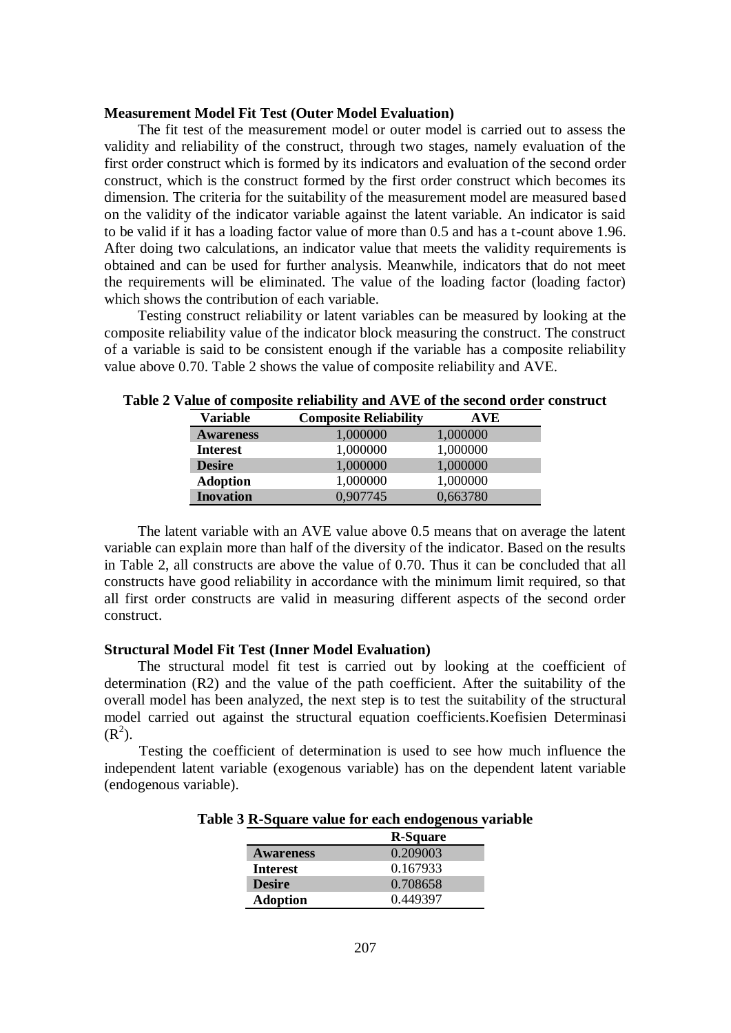### **Measurement Model Fit Test (Outer Model Evaluation)**

The fit test of the measurement model or outer model is carried out to assess the validity and reliability of the construct, through two stages, namely evaluation of the first order construct which is formed by its indicators and evaluation of the second order construct, which is the construct formed by the first order construct which becomes its dimension. The criteria for the suitability of the measurement model are measured based on the validity of the indicator variable against the latent variable. An indicator is said to be valid if it has a loading factor value of more than 0.5 and has a t-count above 1.96. After doing two calculations, an indicator value that meets the validity requirements is obtained and can be used for further analysis. Meanwhile, indicators that do not meet the requirements will be eliminated. The value of the loading factor (loading factor) which shows the contribution of each variable.

Testing construct reliability or latent variables can be measured by looking at the composite reliability value of the indicator block measuring the construct. The construct of a variable is said to be consistent enough if the variable has a composite reliability value above 0.70. Table 2 shows the value of composite reliability and AVE.

| Variable         | <b>Composite Reliability</b> | AVE      |
|------------------|------------------------------|----------|
| <b>Awareness</b> | 1,000000                     | 1,000000 |
| <b>Interest</b>  | 1,000000                     | 1,000000 |
| <b>Desire</b>    | 1,000000                     | 1,000000 |
| <b>Adoption</b>  | 1,000000                     | 1,000000 |
| <b>Inovation</b> | 0,907745                     | 0,663780 |

**Table 2 Value of composite reliability and AVE of the second order construct**

The latent variable with an AVE value above 0.5 means that on average the latent variable can explain more than half of the diversity of the indicator. Based on the results in Table 2, all constructs are above the value of 0.70. Thus it can be concluded that all constructs have good reliability in accordance with the minimum limit required, so that all first order constructs are valid in measuring different aspects of the second order construct.

### **Structural Model Fit Test (Inner Model Evaluation)**

The structural model fit test is carried out by looking at the coefficient of determination (R2) and the value of the path coefficient. After the suitability of the overall model has been analyzed, the next step is to test the suitability of the structural model carried out against the structural equation coefficients.Koefisien Determinasi  $(R^2)$ .

Testing the coefficient of determination is used to see how much influence the independent latent variable (exogenous variable) has on the dependent latent variable (endogenous variable).

|                  | <b>R-Square</b> |
|------------------|-----------------|
| <b>Awareness</b> | 0.209003        |
| <b>Interest</b>  | 0.167933        |
| <b>Desire</b>    | 0.708658        |
| <b>Adoption</b>  | 0.449397        |

**Table 3 R-Square value for each endogenous variable**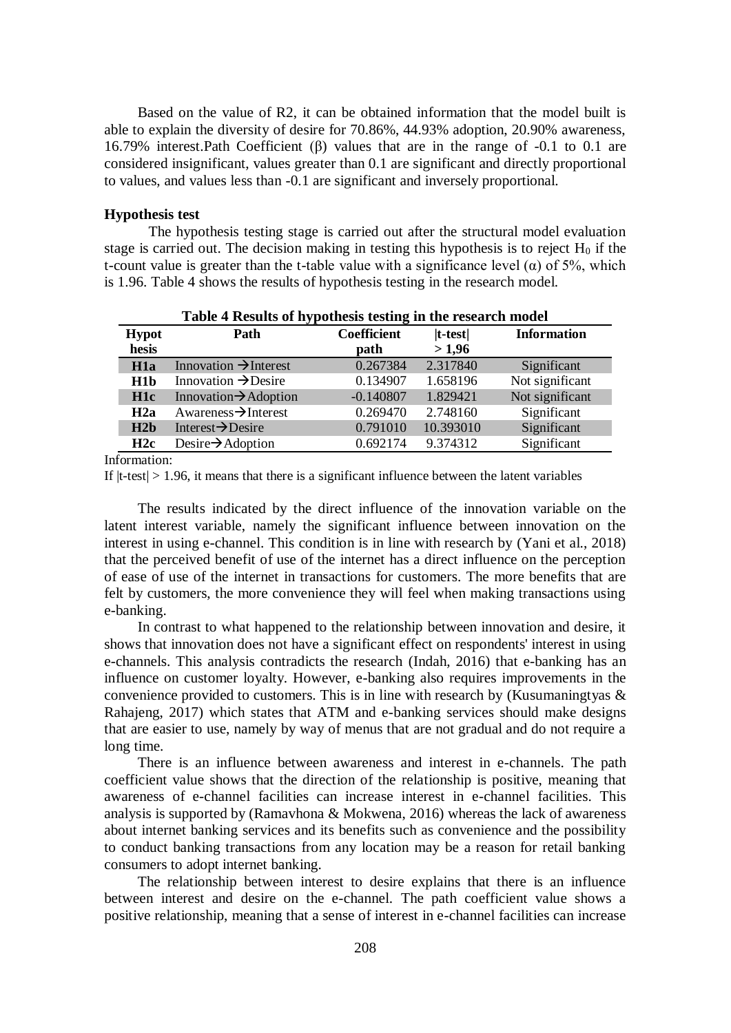Based on the value of R2, it can be obtained information that the model built is able to explain the diversity of desire for 70.86%, 44.93% adoption, 20.90% awareness, 16.79% interest.Path Coefficient (β) values that are in the range of -0.1 to 0.1 are considered insignificant, values greater than 0.1 are significant and directly proportional to values, and values less than -0.1 are significant and inversely proportional.

### **Hypothesis test**

The hypothesis testing stage is carried out after the structural model evaluation stage is carried out. The decision making in testing this hypothesis is to reject  $H_0$  if the t-count value is greater than the t-table value with a significance level ( $\alpha$ ) of 5%, which is 1.96. Table 4 shows the results of hypothesis testing in the research model.

| Table + Results of hypothesis testing in the research model |                                   |                    |            |                    |  |  |  |
|-------------------------------------------------------------|-----------------------------------|--------------------|------------|--------------------|--|--|--|
| <b>Hypot</b>                                                | Path                              | <b>Coefficient</b> | $ t-test $ | <b>Information</b> |  |  |  |
| hesis                                                       |                                   | path               | >1,96      |                    |  |  |  |
| H1a                                                         | Innovation $\rightarrow$ Interest | 0.267384           | 2.317840   | Significant        |  |  |  |
| H1b                                                         | Innovation $\rightarrow$ Desire   | 0.134907           | 1.658196   | Not significant    |  |  |  |
| H1c                                                         | Innovation $\rightarrow$ Adoption | $-0.140807$        | 1.829421   | Not significant    |  |  |  |
| H2a                                                         | Awareness $\rightarrow$ Interest  | 0.269470           | 2.748160   | Significant        |  |  |  |
| H2b                                                         | Interest $\rightarrow$ Desire     | 0.791010           | 10.393010  | Significant        |  |  |  |
| H2c                                                         | Desire $\rightarrow$ Adoption     | 0.692174           | 9.374312   | Significant        |  |  |  |

**Table 4 Results of hypothesis testing in the research model**

Information:

If  $|t-test| > 1.96$ , it means that there is a significant influence between the latent variables

The results indicated by the direct influence of the innovation variable on the latent interest variable, namely the significant influence between innovation on the interest in using e-channel. This condition is in line with research by (Yani et al., 2018) that the perceived benefit of use of the internet has a direct influence on the perception of ease of use of the internet in transactions for customers. The more benefits that are felt by customers, the more convenience they will feel when making transactions using e-banking.

In contrast to what happened to the relationship between innovation and desire, it shows that innovation does not have a significant effect on respondents' interest in using e-channels. This analysis contradicts the research (Indah, 2016) that e-banking has an influence on customer loyalty. However, e-banking also requires improvements in the convenience provided to customers. This is in line with research by (Kusumaningtyas & Rahajeng, 2017) which states that ATM and e-banking services should make designs that are easier to use, namely by way of menus that are not gradual and do not require a long time.

There is an influence between awareness and interest in e-channels. The path coefficient value shows that the direction of the relationship is positive, meaning that awareness of e-channel facilities can increase interest in e-channel facilities. This analysis is supported by (Ramavhona  $&$  Mokwena, 2016) whereas the lack of awareness about internet banking services and its benefits such as convenience and the possibility to conduct banking transactions from any location may be a reason for retail banking consumers to adopt internet banking.

The relationship between interest to desire explains that there is an influence between interest and desire on the e-channel. The path coefficient value shows a positive relationship, meaning that a sense of interest in e-channel facilities can increase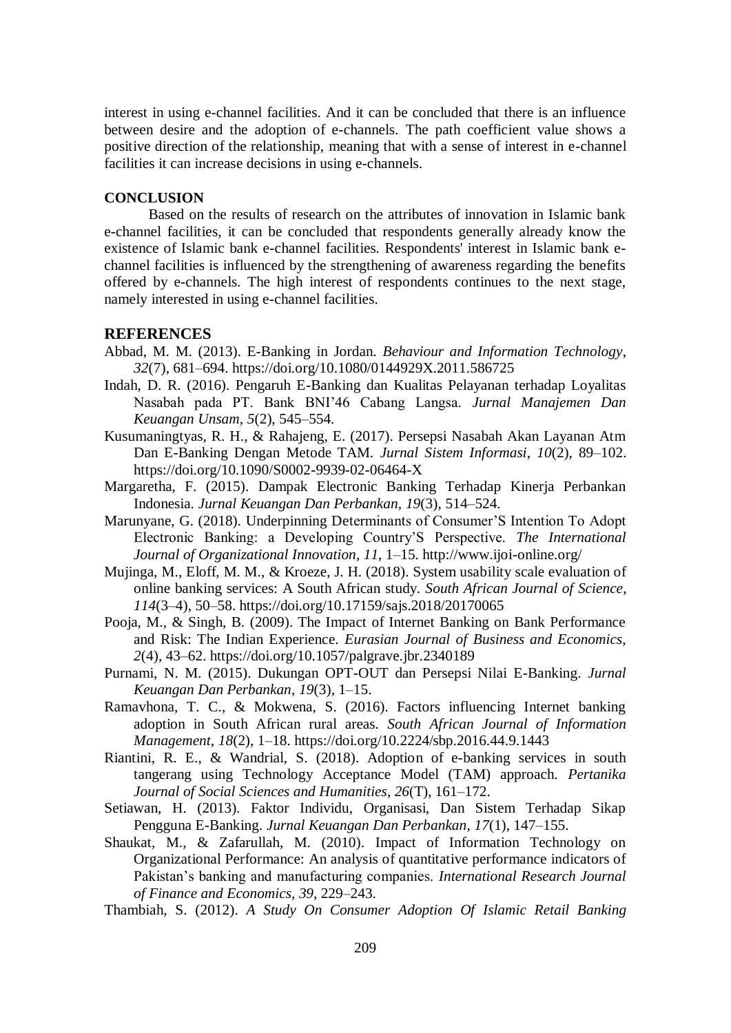interest in using e-channel facilities. And it can be concluded that there is an influence between desire and the adoption of e-channels. The path coefficient value shows a positive direction of the relationship, meaning that with a sense of interest in e-channel facilities it can increase decisions in using e-channels.

### **CONCLUSION**

Based on the results of research on the attributes of innovation in Islamic bank e-channel facilities, it can be concluded that respondents generally already know the existence of Islamic bank e-channel facilities. Respondents' interest in Islamic bank echannel facilities is influenced by the strengthening of awareness regarding the benefits offered by e-channels. The high interest of respondents continues to the next stage, namely interested in using e-channel facilities.

## **REFERENCES**

- Abbad, M. M. (2013). E-Banking in Jordan. *Behaviour and Information Technology*, *32*(7), 681–694. https://doi.org/10.1080/0144929X.2011.586725
- Indah, D. R. (2016). Pengaruh E-Banking dan Kualitas Pelayanan terhadap Loyalitas Nasabah pada PT. Bank BNI'46 Cabang Langsa. *Jurnal Manajemen Dan Keuangan Unsam*, *5*(2), 545–554.
- Kusumaningtyas, R. H., & Rahajeng, E. (2017). Persepsi Nasabah Akan Layanan Atm Dan E-Banking Dengan Metode TAM. *Jurnal Sistem Informasi*, *10*(2), 89–102. https://doi.org/10.1090/S0002-9939-02-06464-X
- Margaretha, F. (2015). Dampak Electronic Banking Terhadap Kinerja Perbankan Indonesia. *Jurnal Keuangan Dan Perbankan*, *19*(3), 514–524.
- Marunyane, G. (2018). Underpinning Determinants of Consumer'S Intention To Adopt Electronic Banking: a Developing Country'S Perspective. *The International Journal of Organizational Innovation*, *11*, 1–15. http://www.ijoi-online.org/
- Mujinga, M., Eloff, M. M., & Kroeze, J. H. (2018). System usability scale evaluation of online banking services: A South African study. *South African Journal of Science*, *114*(3–4), 50–58. https://doi.org/10.17159/sajs.2018/20170065
- Pooja, M., & Singh, B. (2009). The Impact of Internet Banking on Bank Performance and Risk: The Indian Experience. *Eurasian Journal of Business and Economics*, *2*(4), 43–62. https://doi.org/10.1057/palgrave.jbr.2340189
- Purnami, N. M. (2015). Dukungan OPT-OUT dan Persepsi Nilai E-Banking. *Jurnal Keuangan Dan Perbankan*, *19*(3), 1–15.
- Ramavhona, T. C., & Mokwena, S. (2016). Factors influencing Internet banking adoption in South African rural areas. *South African Journal of Information Management*, *18*(2), 1–18. https://doi.org/10.2224/sbp.2016.44.9.1443
- Riantini, R. E., & Wandrial, S. (2018). Adoption of e-banking services in south tangerang using Technology Acceptance Model (TAM) approach. *Pertanika Journal of Social Sciences and Humanities*, *26*(T), 161–172.
- Setiawan, H. (2013). Faktor Individu, Organisasi, Dan Sistem Terhadap Sikap Pengguna E-Banking. *Jurnal Keuangan Dan Perbankan*, *17*(1), 147–155.
- Shaukat, M., & Zafarullah, M. (2010). Impact of Information Technology on Organizational Performance: An analysis of quantitative performance indicators of Pakistan's banking and manufacturing companies. *International Research Journal of Finance and Economics*, *39*, 229–243.

Thambiah, S. (2012). *A Study On Consumer Adoption Of Islamic Retail Banking*